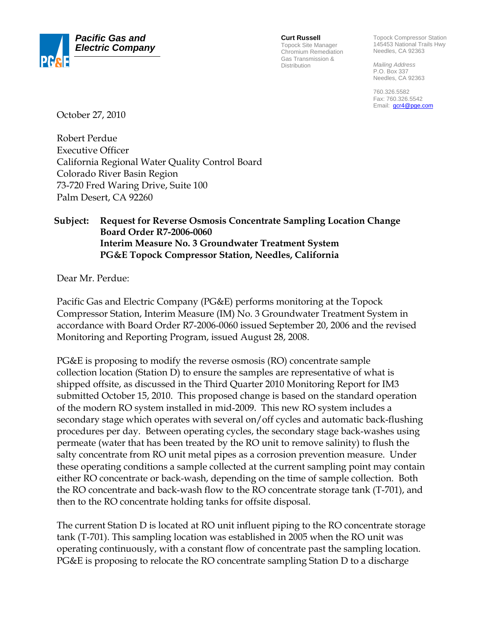

**Curt Russell**

Topock Site Manager Chromium Remediation Gas Transmission & Distribution

Topock Compressor Station 145453 National Trails Hwy Needles, CA 92363

*Mailing Address*  P.O. Box 337 Needles, CA 92363

760.326.5582 Fax: 760.326.5542 Email: **gcr4@pge.com** 

October 27, 2010

Robert Perdue Executive Officer California Regional Water Quality Control Board Colorado River Basin Region 73-720 Fred Waring Drive, Suite 100 Palm Desert, CA 92260

## **Subject: Request for Reverse Osmosis Concentrate Sampling Location Change Board Order R7-2006-0060 Interim Measure No. 3 Groundwater Treatment System PG&E Topock Compressor Station, Needles, California**

Dear Mr. Perdue:

Pacific Gas and Electric Company (PG&E) performs monitoring at the Topock Compressor Station, Interim Measure (IM) No. 3 Groundwater Treatment System in accordance with Board Order R7-2006-0060 issued September 20, 2006 and the revised Monitoring and Reporting Program, issued August 28, 2008.

PG&E is proposing to modify the reverse osmosis (RO) concentrate sample collection location (Station D) to ensure the samples are representative of what is shipped offsite, as discussed in the Third Quarter 2010 Monitoring Report for IM3 submitted October 15, 2010. This proposed change is based on the standard operation of the modern RO system installed in mid-2009. This new RO system includes a secondary stage which operates with several on/off cycles and automatic back-flushing procedures per day. Between operating cycles, the secondary stage back-washes using permeate (water that has been treated by the RO unit to remove salinity) to flush the salty concentrate from RO unit metal pipes as a corrosion prevention measure. Under these operating conditions a sample collected at the current sampling point may contain either RO concentrate or back-wash, depending on the time of sample collection. Both the RO concentrate and back-wash flow to the RO concentrate storage tank (T-701), and then to the RO concentrate holding tanks for offsite disposal.

The current Station D is located at RO unit influent piping to the RO concentrate storage tank (T-701). This sampling location was established in 2005 when the RO unit was operating continuously, with a constant flow of concentrate past the sampling location. PG&E is proposing to relocate the RO concentrate sampling Station D to a discharge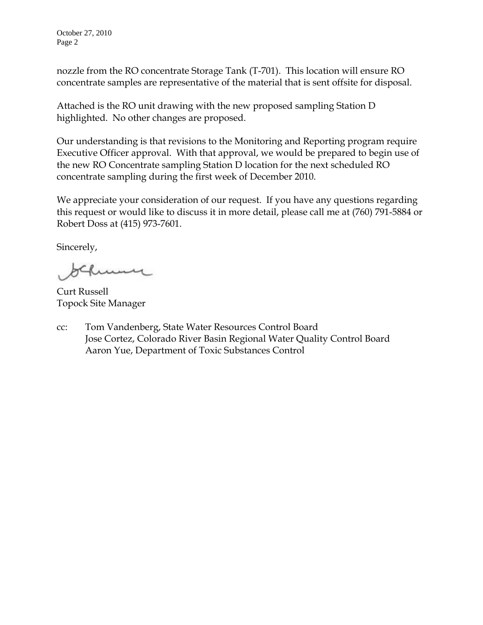October 27, 2010 Page 2

nozzle from the RO concentrate Storage Tank (T-701). This location will ensure RO concentrate samples are representative of the material that is sent offsite for disposal.

Attached is the RO unit drawing with the new proposed sampling Station D highlighted. No other changes are proposed.

Our understanding is that revisions to the Monitoring and Reporting program require Executive Officer approval. With that approval, we would be prepared to begin use of the new RO Concentrate sampling Station D location for the next scheduled RO concentrate sampling during the first week of December 2010.

We appreciate your consideration of our request. If you have any questions regarding this request or would like to discuss it in more detail, please call me at (760) 791-5884 or Robert Doss at (415) 973-7601.

Sincerely,

me

Curt Russell Topock Site Manager

cc: Tom Vandenberg, State Water Resources Control Board Jose Cortez, Colorado River Basin Regional Water Quality Control Board Aaron Yue, Department of Toxic Substances Control